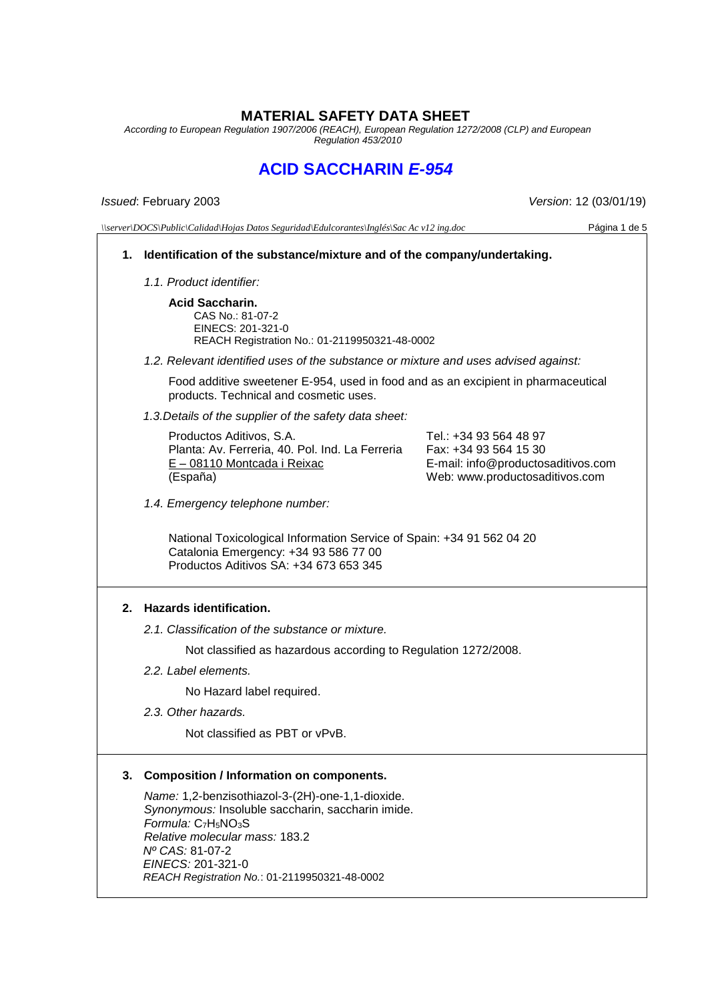# **MATERIAL SAFETY DATA SHEET**

*According to European Regulation 1907/2006 (REACH), European Regulation 1272/2008 (CLP) and European Regulation 453/2010*

# **ACID SACCHARIN** *E-954*

*Issued*: February 2003 *Version*: 12 (03/01/19)

*\\server\DOCS\Public\Calidad\Hojas Datos Seguridad\Edulcorantes\Inglés\Sac Ac v12 ing.doc* Página 1 de 5

# **1. Identification of the substance/mixture and of the company/undertaking.**

*1.1. Product identifier:*

**Acid Saccharin.** CAS No.: 81-07-2 EINECS: 201-321-0 REACH Registration No.: 01-2119950321-48-0002

*1.2. Relevant identified uses of the substance or mixture and uses advised against:*

Food additive sweetener E-954, used in food and as an excipient in pharmaceutical products. Technical and cosmetic uses.

*1.3.Details of the supplier of the safety data sheet:*

Productos Aditivos, S.A. Planta: Av. Ferreria, 40. Pol. Ind. La Ferreria E – 08110 Montcada i Reixac (España)

Tel.: +34 93 564 48 97 Fax: +34 93 564 15 30 E-mail: info@productosaditivos.com Web: www.productosaditivos.com

*1.4. Emergency telephone number:*

National Toxicological Information Service of Spain: +34 91 562 04 20 Catalonia Emergency: +34 93 586 77 00 Productos Aditivos SA: +34 673 653 345

# **2. Hazards identification.**

*2.1. Classification of the substance or mixture.*

Not classified as hazardous according to Regulation 1272/2008.

*2.2. Label elements.*

No Hazard label required.

*2.3. Other hazards.*

Not classified as PBT or vPvB.

# **3. Composition / Information on components.**

*Name:* 1,2-benzisothiazol-3-(2H)-one-1,1-dioxide. *Synonymous:* Insoluble saccharin, saccharin imide. *Formula:* C7H5NO3S *Relative molecular mass:* 183.2 *Nº CAS:* 81-07-2 *EINECS:* 201-321-0 *REACH Registration No.*: 01-2119950321-48-0002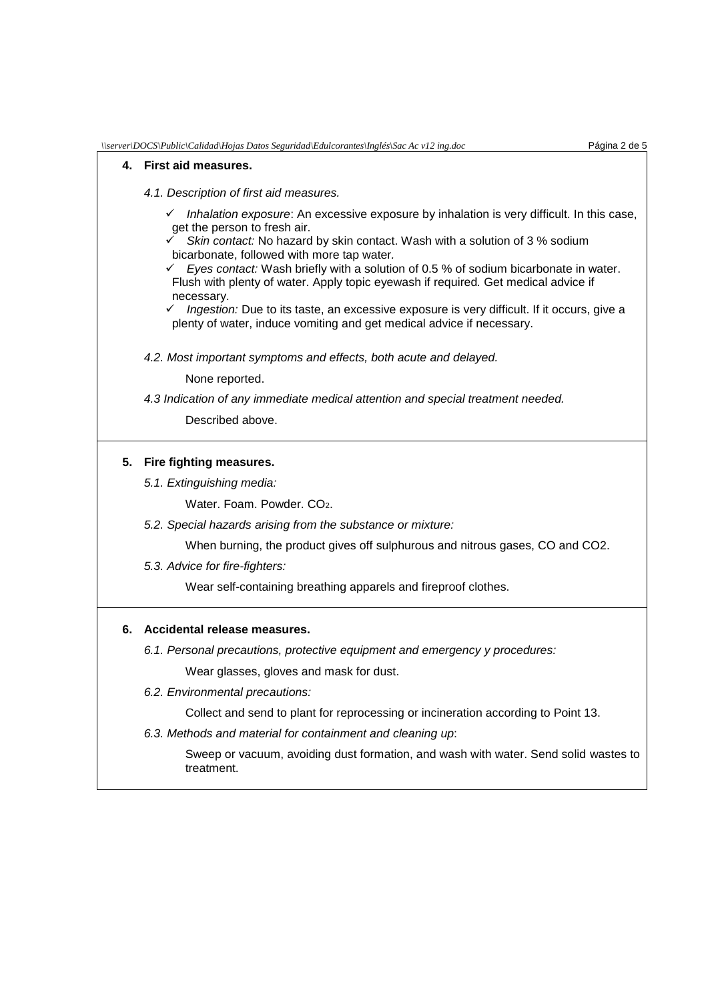#### **4. First aid measures.**

- *4.1. Description of first aid measures.*
	- *Inhalation exposure*: An excessive exposure by inhalation is very difficult. In this case, get the person to fresh air.
	- *Skin contact:* No hazard by skin contact. Wash with a solution of 3 % sodium bicarbonate, followed with more tap water*.*
	- $\checkmark$  Eyes contact: Wash briefly with a solution of 0.5 % of sodium bicarbonate in water. Flush with plenty of water. Apply topic eyewash if required*.* Get medical advice if necessary.
	- *Ingestion:* Due to its taste, an excessive exposure is very difficult. If it occurs, give a plenty of water, induce vomiting and get medical advice if necessary.
- *4.2. Most important symptoms and effects, both acute and delayed.*

None reported.

*4.3 Indication of any immediate medical attention and special treatment needed.*

Described above.

### **5. Fire fighting measures.**

*5.1. Extinguishing media:*

Water. Foam. Powder. CO<sub>2</sub>.

*5.2. Special hazards arising from the substance or mixture:*

When burning, the product gives off sulphurous and nitrous gases, CO and CO2.

*5.3. Advice for fire-fighters:*

Wear self-containing breathing apparels and fireproof clothes.

## **6. Accidental release measures.**

- *6.1. Personal precautions, protective equipment and emergency y procedures:* Wear glasses, gloves and mask for dust.
- *6.2. Environmental precautions:*

Collect and send to plant for reprocessing or incineration according to Point 13.

*6.3. Methods and material for containment and cleaning up*:

Sweep or vacuum, avoiding dust formation, and wash with water. Send solid wastes to treatment.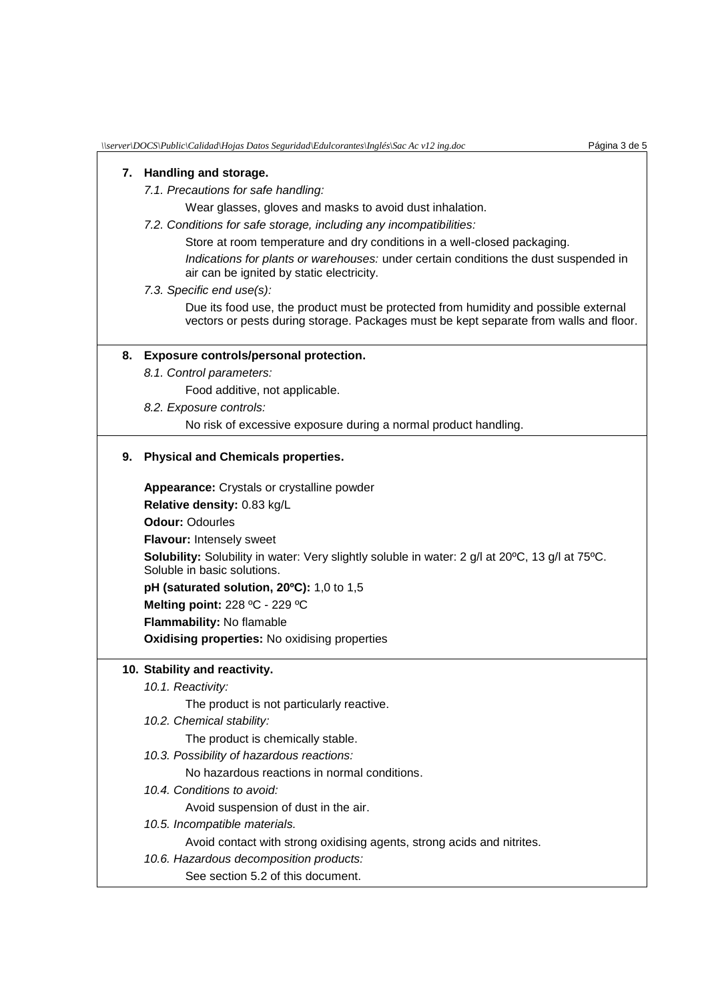#### **7. Handling and storage.**

#### *7.1. Precautions for safe handling:*

Wear glasses, gloves and masks to avoid dust inhalation.

*7.2. Conditions for safe storage, including any incompatibilities:*

Store at room temperature and dry conditions in a well-closed packaging.

*Indications for plants or warehouses:* under certain conditions the dust suspended in air can be ignited by static electricity.

#### *7.3. Specific end use(s):*

Due its food use, the product must be protected from humidity and possible external vectors or pests during storage. Packages must be kept separate from walls and floor.

#### **8. Exposure controls/personal protection.**

*8.1. Control parameters:*

Food additive, not applicable.

*8.2. Exposure controls:*

No risk of excessive exposure during a normal product handling.

#### **9. Physical and Chemicals properties.**

**Appearance:** Crystals or crystalline powder **Relative density:** 0.83 kg/L **Odour:** Odourles **Flavour:** Intensely sweet **Solubility:** Solubility in water: Very slightly soluble in water: 2 g/l at 20ºC, 13 g/l at 75ºC. Soluble in basic solutions. **pH (saturated solution, 20ºC):** 1,0 to 1,5 **Melting point:** 228 ºC - 229 ºC **Flammability:** No flamable **Oxidising properties:** No oxidising properties

### **10. Stability and reactivity.**

*10.1. Reactivity:*

The product is not particularly reactive.

*10.2. Chemical stability:*

The product is chemically stable.

*10.3. Possibility of hazardous reactions:*

No hazardous reactions in normal conditions.

*10.4. Conditions to avoid:*

Avoid suspension of dust in the air.

*10.5. Incompatible materials.*

Avoid contact with strong oxidising agents, strong acids and nitrites.

*10.6. Hazardous decomposition products:*

See section 5.2 of this document.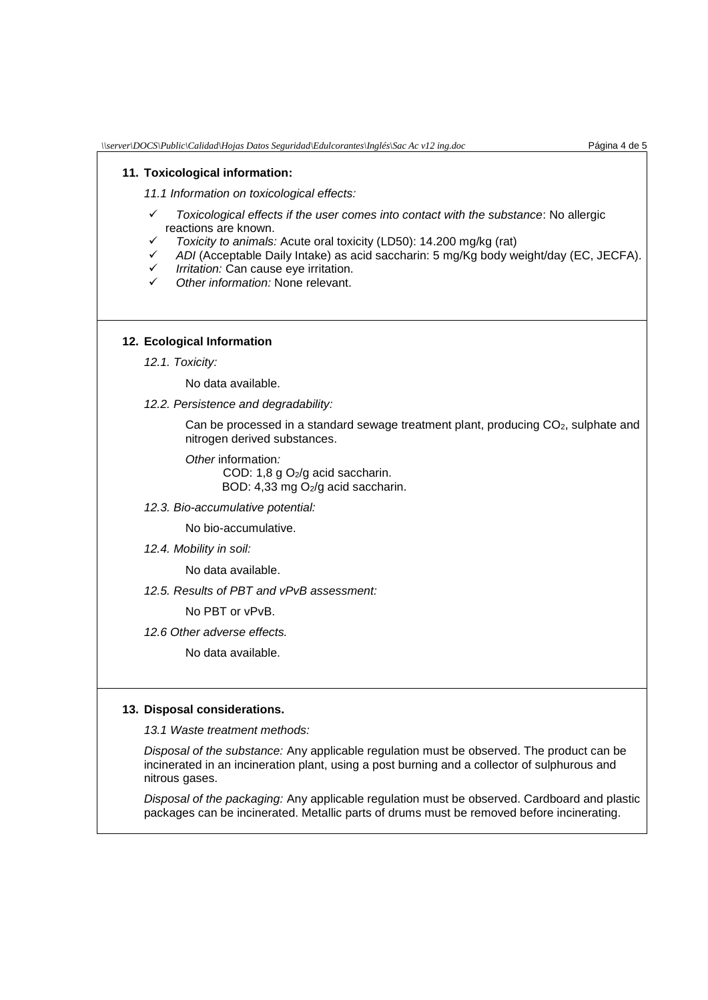#### **11. Toxicological information:**

*11.1 Information on toxicological effects:*

- *Toxicological effects if the user comes into contact with the substance*: No allergic reactions are known.
- *Toxicity to animals:* Acute oral toxicity (LD50): 14.200 mg/kg (rat)
- *ADI* (Acceptable Daily Intake) as acid saccharin: 5 mg/Kg body weight/day (EC, JECFA).
- *Irritation:* Can cause eye irritation.
- *Other information:* None relevant.

#### **12. Ecological Information**

*12.1. Toxicity:*

No data available.

*12.2. Persistence and degradability:*

Can be processed in a standard sewage treatment plant, producing CO<sub>2</sub>, sulphate and nitrogen derived substances.

*Other* information*:*  COD: 1,8 g O2/g acid saccharin. BOD: 4,33 mg O<sub>2</sub>/g acid saccharin.

*12.3. Bio-accumulative potential:*

No bio-accumulative.

*12.4. Mobility in soil:*

No data available.

*12.5. Results of PBT and vPvB assessment:*

No PBT or vPvB.

*12.6 Other adverse effects.*

No data available.

#### **13. Disposal considerations.**

*13.1 Waste treatment methods:*

*Disposal of the substance:* Any applicable regulation must be observed. The product can be incinerated in an incineration plant, using a post burning and a collector of sulphurous and nitrous gases.

*Disposal of the packaging:* Any applicable regulation must be observed. Cardboard and plastic packages can be incinerated. Metallic parts of drums must be removed before incinerating.